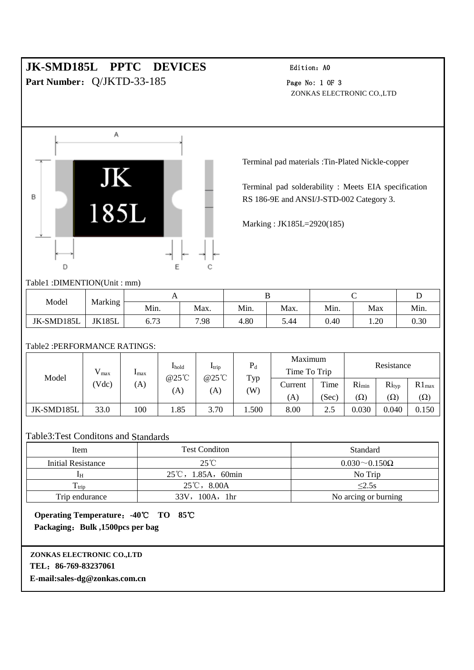# **JK-SMD185L PPTC DEVICES** Edition: A0

**Part Number:** Q/JKTD-33-185 Page No: 1 OF 3

ZONKAS ELECTRONIC CO.,LTD



Terminal pad materials :Tin-Plated Nickle-copper

Terminal pad solderability : Meets EIA specification RS 186-9E and ANSI/J-STD-002 Category 3.

Marking : JK185L=2920(185)

## Table1 :DIMENTION(Unit : mm)

| Model      | Marking<br>ے  |                    |      |      |      |      |      |      |
|------------|---------------|--------------------|------|------|------|------|------|------|
|            |               | Min.               | Max. | Min. | Max. | Min. | Max  | Min. |
| JK-SMD185L | <b>JK185L</b> | $\sqrt{2}$<br>0.73 | 7.98 | 4.80 | 5.44 | 0.40 | 1.20 | 0.30 |

## Table2 :PERFORMANCE RATINGS:

| Model      | $V_{max}$<br>Vdc) | $_{\rm max}$<br>(A) | <b>I</b> hold<br>@25°C<br>(A) | $I_{\text{trip}}$<br>$@25^{\circ}$ C<br>(A) | $P_d$<br>Typ<br>W) | Maximum<br>Time To Trip |       | Resistance |            |            |
|------------|-------------------|---------------------|-------------------------------|---------------------------------------------|--------------------|-------------------------|-------|------------|------------|------------|
|            |                   |                     |                               |                                             |                    | Current                 | Time  | $Ri_{min}$ | Rityp      | $R1_{max}$ |
|            |                   |                     |                               |                                             |                    | (A)                     | (Sec) | $(\Omega)$ | $(\Omega)$ | $(\Omega)$ |
| JK-SMD185L | 33.0              | 100                 | 1.85                          | 3.70                                        | .500               | 8.00                    | 2.5   | 0.030      | 0.040      | 0.150      |

## Table3:Test Conditons and Standards

| Item               | <b>Test Condition</b>               | Standard                  |  |  |
|--------------------|-------------------------------------|---------------------------|--|--|
| Initial Resistance | $25^{\circ}$ C                      | $0.030 \sim 0.150 \Omega$ |  |  |
| ĪН                 | $25^{\circ}\text{C}$ , 1.85A, 60min | No Trip                   |  |  |
| $T_{\rm trip}$     | $25^{\circ}\text{C}$ , 8.00A        | $\leq$ 2.5s               |  |  |
| Trip endurance     | 33V, 100A, 1hr                      | No arcing or burning      |  |  |

**Operating Temperature**:**-40**℃ **TO 85**℃ **Packaging**:**Bulk ,1500pcs per bag**

## **ZONKAS ELECTRONIC CO.,LTD TEL**:**86-769-83237061**

**E-mail:sales-dg@zonkas.com.cn**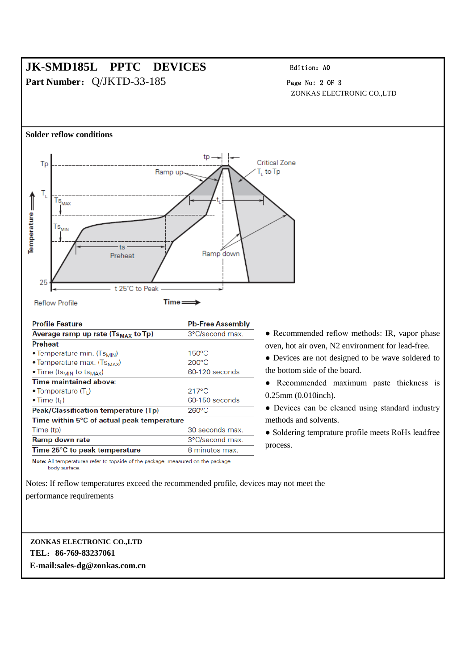## **JK-SMD185L PPTC DEVICES** Edition: A0 **Part Number:** Q/JKTD-33-185 Page No: 2 OF 3

ZONKAS ELECTRONIC CO.,LTD



• Devices are not designed to be wave soldered to

● Recommended maximum paste thickness is

• Devices can be cleaned using standard industry

• Soldering temprature profile meets RoHs leadfree process.

Note: All temperatures refer to topside of the package, measured on the package body surface.

Notes: If reflow temperatures exceed the recommended profile, devices may not meet the

8 minutes max.

performance requirements

## **ZONKAS ELECTRONIC CO.,LTD TEL**:**86-769-83237061 E-mail:sales-dg@zonkas.com.cn**

Time 25°C to peak temperature